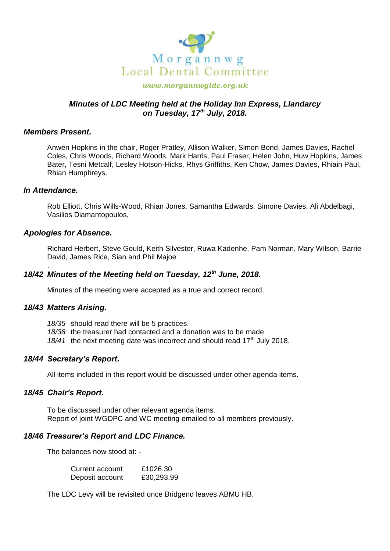

#### *www.morgannwgldc.org.uk*

# *Minutes of LDC Meeting held at the Holiday Inn Express, Llandarcy on Tuesday, 17th July, 2018.*

#### *Members Present.*

Anwen Hopkins in the chair, Roger Pratley, Allison Walker, Simon Bond, James Davies, Rachel Coles, Chris Woods, Richard Woods, Mark Harris, Paul Fraser, Helen John, Huw Hopkins, James Bater, Tesni Metcalf, Lesley Hotson-Hicks, Rhys Griffiths, Ken Chow, James Davies, Rhiain Paul, Rhian Humphreys.

#### *In Attendance.*

.

Rob Elliott, Chris Wills-Wood, Rhian Jones, Samantha Edwards, Simone Davies, Ali Abdelbagi, Vasilios Diamantopoulos,

### *Apologies for Absence.*

Richard Herbert, Steve Gould, Keith Silvester, Ruwa Kadenhe, Pam Norman, Mary Wilson, Barrie David, James Rice, Sian and Phil Majoe

# *18/42 Minutes of the Meeting held on Tuesday, 12th June, 2018.*

Minutes of the meeting were accepted as a true and correct record.

### *18/43 Matters Arising.*

*18/35* should read there will be 5 practices.

*18/38* the treasurer had contacted and a donation was to be made.

18/41 the next meeting date was incorrect and should read 17<sup>th</sup> July 2018.

### *18/44 Secretary's Report.*

All items included in this report would be discussed under other agenda items.

### *18/45 Chair's Report.*

To be discussed under other relevant agenda items. Report of joint WGDPC and WC meeting emailed to all members previously.

### *18/46 Treasurer's Report and LDC Finance.*

The balances now stood at: -

| Current account | £1026.30   |
|-----------------|------------|
| Deposit account | £30,293.99 |

The LDC Levy will be revisited once Bridgend leaves ABMU HB.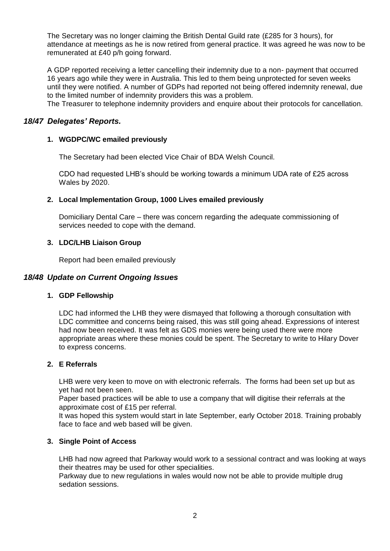The Secretary was no longer claiming the British Dental Guild rate (£285 for 3 hours), for attendance at meetings as he is now retired from general practice. It was agreed he was now to be remunerated at £40 p/h going forward.

A GDP reported receiving a letter cancelling their indemnity due to a non- payment that occurred 16 years ago while they were in Australia. This led to them being unprotected for seven weeks until they were notified. A number of GDPs had reported not being offered indemnity renewal, due to the limited number of indemnity providers this was a problem.

The Treasurer to telephone indemnity providers and enquire about their protocols for cancellation.

# *18/47 Delegates' Reports.*

### **1. WGDPC/WC emailed previously**

The Secretary had been elected Vice Chair of BDA Welsh Council.

CDO had requested LHB's should be working towards a minimum UDA rate of £25 across Wales by 2020.

### **2. Local Implementation Group, 1000 Lives emailed previously**

Domiciliary Dental Care – there was concern regarding the adequate commissioning of services needed to cope with the demand.

### **3. LDC/LHB Liaison Group**

Report had been emailed previously

## *18/48 Update on Current Ongoing Issues*

### **1. GDP Fellowship**

LDC had informed the LHB they were dismayed that following a thorough consultation with LDC committee and concerns being raised, this was still going ahead. Expressions of interest had now been received. It was felt as GDS monies were being used there were more appropriate areas where these monies could be spent. The Secretary to write to Hilary Dover to express concerns.

### **2. E Referrals**

LHB were very keen to move on with electronic referrals. The forms had been set up but as yet had not been seen.

Paper based practices will be able to use a company that will digitise their referrals at the approximate cost of £15 per referral.

It was hoped this system would start in late September, early October 2018. Training probably face to face and web based will be given.

#### **3. Single Point of Access**

LHB had now agreed that Parkway would work to a sessional contract and was looking at ways their theatres may be used for other specialities.

Parkway due to new regulations in wales would now not be able to provide multiple drug sedation sessions.